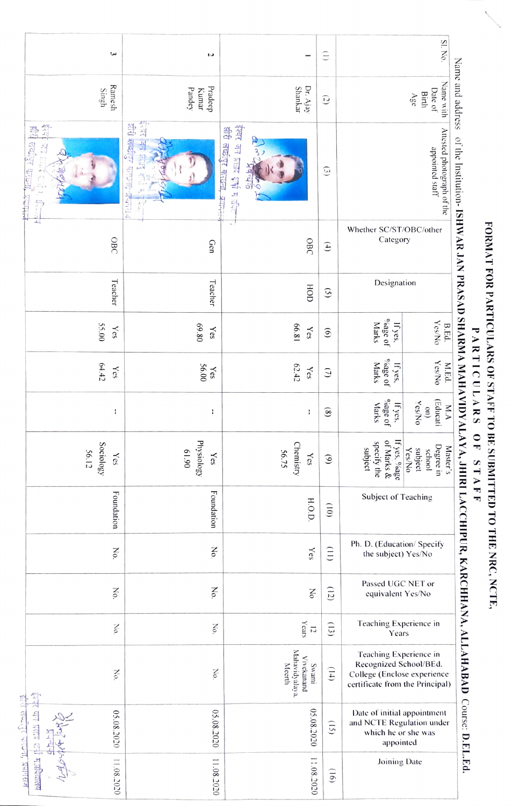| ٤                                                                                       | J                                                           |                                                           | $\widehat{\Xi}$            |                                                                                                                    |                                                                                                                           |  |
|-----------------------------------------------------------------------------------------|-------------------------------------------------------------|-----------------------------------------------------------|----------------------------|--------------------------------------------------------------------------------------------------------------------|---------------------------------------------------------------------------------------------------------------------------|--|
| Ramesh<br>Singh                                                                         | Pradeep<br>Pandey<br>Kumar                                  | Shankar<br>Dr. Ajay                                       | $\overline{c}$             |                                                                                                                    | Name and address<br>Name with<br>Date of<br>Birth<br>Age                                                                  |  |
| 흡<br>出<br>THAME LETTER<br>$\frac{\sqrt{2}}{2}$<br>2 2 3 5 m<br><b>MALLED</b><br>AP 25 W | इन्स का प्राप्त<br>झेरी लब्दीपुर<br>$-4-2+4-$<br>坏除热情<br>医足 | ईश्वर जन प्रसाद शुभी मधीले<br>शीरी लखीपुर काछना<br>Þ<br>S | $\odot$                    | Attested photograph of the<br>appointed staff<br>Whether SC/ST/OBC/other<br>Category                               |                                                                                                                           |  |
| ᆋ<br>OBC                                                                                | Gen                                                         | $\mathcal{L}_{\mathcal{A}}$<br>OBC                        | $\left( 4\right)$          |                                                                                                                    |                                                                                                                           |  |
| Teacher                                                                                 | Teacher                                                     | HOD                                                       | Designation<br>$\odot$     |                                                                                                                    |                                                                                                                           |  |
| 55.00<br>$\chi_{\rm cS}$                                                                | 69.80<br>Yes                                                | 66.81<br>Yes                                              | $\widehat{\Theta}$         | $\delta_{\rm 0Bge}$ of<br><b>Marks</b><br>If yes,                                                                  | $\begin{array}{c}\n\mathbf{B}.\mathbf{Ed}.\n\\ \mathbf{Yes} \mathbf{No}\n\end{array}$                                     |  |
| 64.42<br>Yes                                                                            | $Yes$<br>56.00                                              | 62.42<br>$\chi_{\rm cS}$                                  | $\odot$                    | $\delta_{\rm 0}$ age of<br><b>Marks</b><br>If yes,                                                                 | Yes/No<br>M.Ed.                                                                                                           |  |
| ÷                                                                                       | ł                                                           | ł                                                         | $\circledast$              | $\delta_{\rm 02}$ ge of<br>Marks<br>If yes.                                                                        | (Educati<br>$\frac{\text{on})}{\text{YesNo}}$<br>M.A                                                                      |  |
| Sociology<br>56.12<br>$\chi_{\rm{es}}$                                                  | Physiology<br>0619<br>Yes                                   | Chemistry<br>56.75<br>$\chi_{\rm cS}$                     | $\odot$                    | If yes, $9/6a$ ge<br>of Marks &<br>specify the<br>subject                                                          | of the Institution- ISHWAR JAN PRASAD SHARMA MAHAVIDYALAYA, JHIRI<br>Degree in<br>Master's<br>Yes/No<br>subject<br>school |  |
| Foundation                                                                              | Foundation                                                  | H.O.D.                                                    | $\left($ 0)                | Subject of Teaching                                                                                                |                                                                                                                           |  |
| No.                                                                                     | No.                                                         | Yes                                                       | $\left(\frac{1}{2}\right)$ | Ph. D. (Education/Specify<br>the subject) Yes/No                                                                   |                                                                                                                           |  |
| Νò.                                                                                     | No.                                                         | Σo                                                        | (12)                       | Passed UGC NET or<br>equivalent Yes/No                                                                             |                                                                                                                           |  |
| No.                                                                                     | No.                                                         | Years<br>$\overline{5}$                                   | (13)                       | Teaching Experience in<br>Years                                                                                    |                                                                                                                           |  |
| No.                                                                                     | No.                                                         | Mahavidyalaya.<br>Vivekanand<br>Meerth<br>Swami           | (14)                       | Teaching Experience in<br>Recognized School/BEd.<br>College (Enclose experience<br>certificate from the Principal) |                                                                                                                           |  |
| र जन प्रसाद दावी<br>05.08.2020                                                          | 05.08.2020                                                  | 05.08.2020                                                | (15)                       | Date of initial appointment<br>and NCTE Regulation under<br>which he or she was<br>appointed                       |                                                                                                                           |  |
| मजावेदालय<br>11.08.2020                                                                 | 11.08.2020                                                  | 11.08.2020                                                | (91)                       | Joining Date                                                                                                       |                                                                                                                           |  |

## FORMAT FOR PARTICULARS OF STAFF TO BE SUBMITTED TO THE NRC, NCTE,

PARTICULARS OF STAFF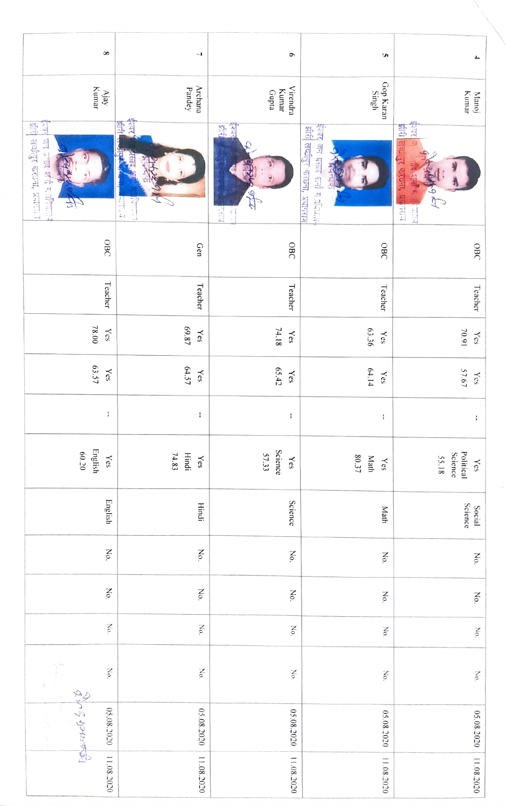| $\infty$                                                                          | L                                                 | $\bullet$                           | S                                                                 | $\pmb{\downarrow}$                                           |
|-----------------------------------------------------------------------------------|---------------------------------------------------|-------------------------------------|-------------------------------------------------------------------|--------------------------------------------------------------|
| Kumar<br>$\rm{A}jay$                                                              | Archana<br>Pandey                                 | <b>Virendra</b><br>Kumar<br>Gupta   | Gop Karan<br>Singh                                                | Manoj<br>Kumar                                               |
| 豊<br><u>isa</u><br>त्तव्यीपुर करवना, प्रनारण<br>जन प्रसाद शर्म मजीविज्ञाल<br>45   | <b>Add</b><br>豐<br><b>Alla</b><br>475.7<br>140.50 | 等<br>इश्वर<br>FINE<br><u>r</u>      | 公山谷<br>झीरी लच्छीपुर -करछना, प्रयागराज्<br>जन प्रसाद शनी मज़दियाल | star<br>516 百字<br>T COUGH, R<br>Abb<br>$t+1$<br><b>REMAR</b> |
| OBC                                                                               | Gen                                               | OBC                                 | OBC                                                               | OBC                                                          |
| Teacher                                                                           | Teacher                                           | Teacher                             | Teacher                                                           | <b>Teacher</b>                                               |
| $78.00$<br>Yes                                                                    | 69.87<br>Yes                                      | 74.18<br>$\chi_{\rm{es}}$           | 63.36<br>Yes                                                      | 70.91<br>$\chi_{\rm cS}$                                     |
| 63.57<br>$\chi_{\rm{es}}$                                                         | 64.57<br>$\chi_{\rm{eS}}$                         | 65.42<br>Yes                        | 64.14<br>Yes                                                      | 57.67<br>$\chi_{\rm cS}$                                     |
| ł                                                                                 | t                                                 | $\mathbf i$                         | ł,                                                                | $\mathbf i$                                                  |
| English<br>60.20<br>$\chi_{\rm{es}}$                                              | Hindi<br>74.83<br>$\chi_{\rm eS}$                 | Science<br>57.33<br>$\chi_{\rm eS}$ | $80.37$<br>Math<br>$\gamma_{\rm eS}$                              | Science<br>Political<br>55.18<br>$\chi_{\rm{es}}$            |
| English                                                                           | Hindi                                             | Science                             | Math                                                              | Social<br>Science                                            |
| No.                                                                               | No.                                               | No.                                 | No.                                                               | No.                                                          |
| No.                                                                               | No.                                               | No.                                 | No.                                                               | No.                                                          |
| $_{\rm No}$                                                                       | No.                                               | No.                                 | No.                                                               | No.                                                          |
| 学<br>No.<br>$\begin{aligned} \frac{\partial}{\partial t} \, . \end{aligned}$<br>ŝ | No.                                               | $_{\rm No}$                         | No.                                                               | No.                                                          |
| Solid & John<br>$\frac{1}{2}$<br>05.08.2020 11.08.2020<br>語<br>する                 | 05.08.2020                                        | 05.08.2020                          | 05.08.2020                                                        | 05.08.2020                                                   |
|                                                                                   | 11.08.2020                                        | 11.08.2020                          | 11.08.2020                                                        | 11.08.2020                                                   |